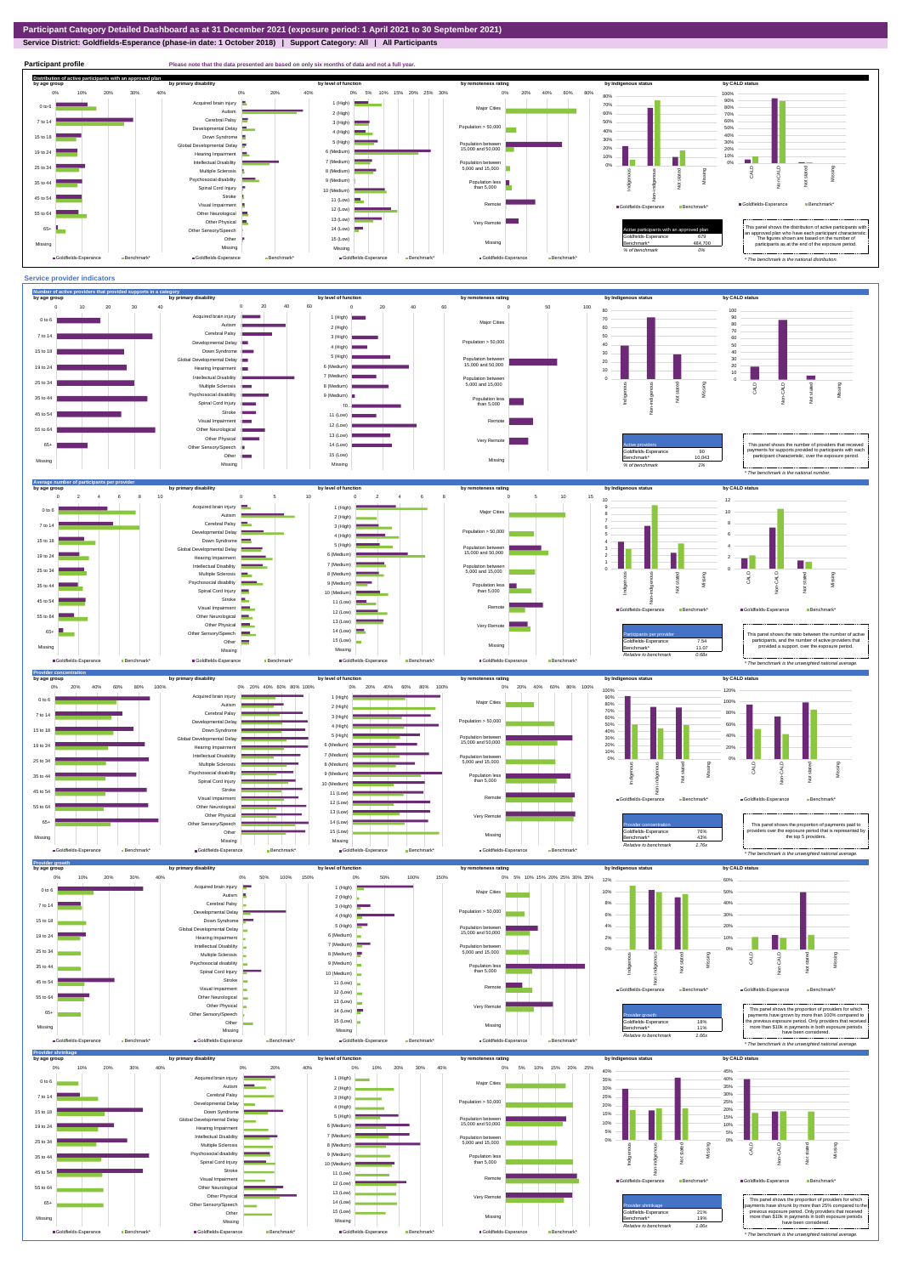**Service District: Goldfields-Esperance (phase-in date: 1 October 2018) | Support Category: All | All Participants**



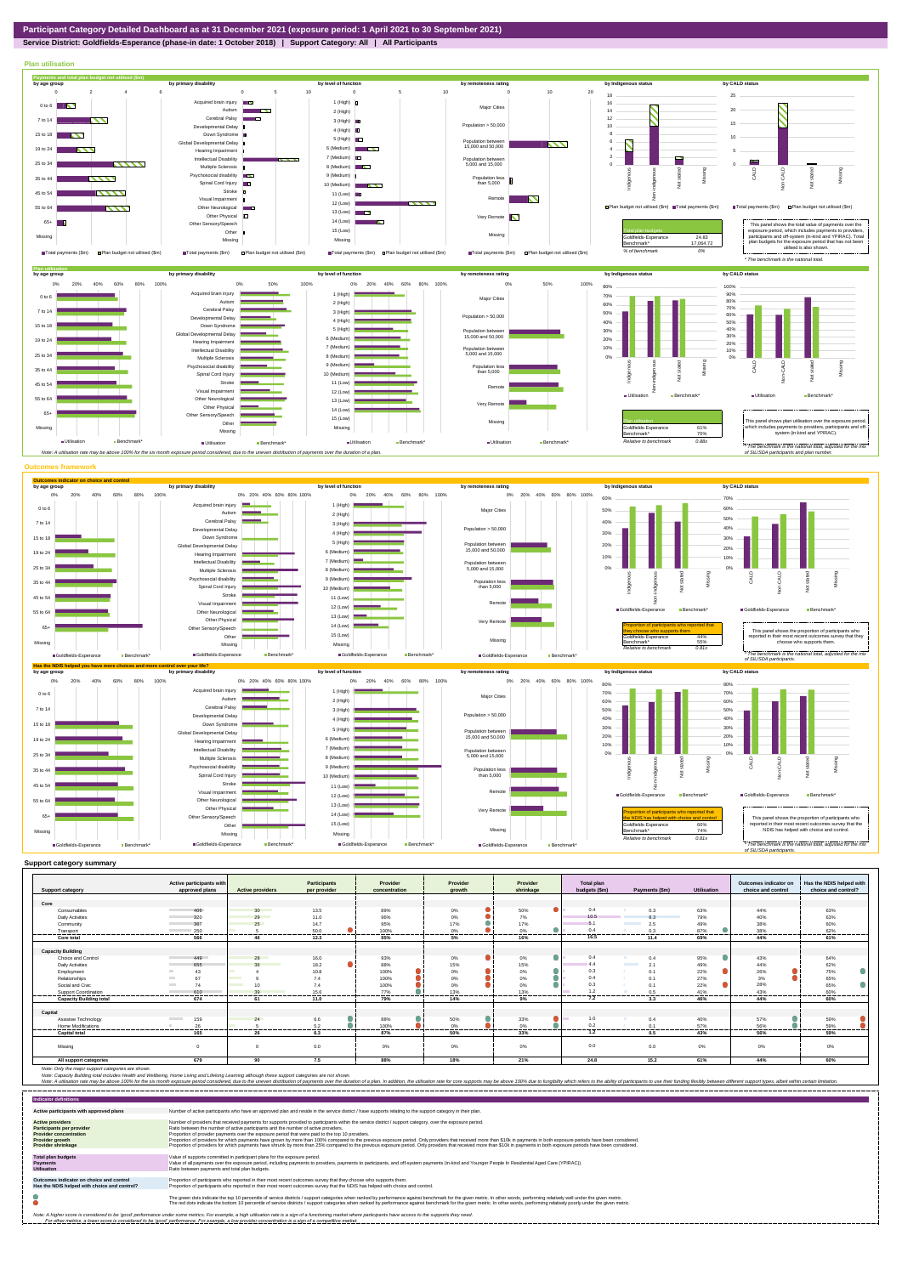**Service District: Goldfields-Esperance (phase-in date: 1 October 2018) | Support Category: All | All Participants**



| <b>Support category</b>        | Active participants with<br>approved plans | <b>Active providers</b>        | <b>Participants</b><br>per provider | Provider<br>concentration | Provider<br>arowth | Provider<br>shrinkage | <b>Total plan</b><br>budgets (\$m) | Payments (\$m)                  | <b>Utilisation</b> | Outcomes indicator on<br>choice and control | Has the NDIS helped with<br>choice and control? |
|--------------------------------|--------------------------------------------|--------------------------------|-------------------------------------|---------------------------|--------------------|-----------------------|------------------------------------|---------------------------------|--------------------|---------------------------------------------|-------------------------------------------------|
|                                |                                            |                                |                                     |                           |                    |                       |                                    |                                 |                    |                                             |                                                 |
| Core                           |                                            |                                |                                     |                           |                    |                       |                                    |                                 |                    |                                             |                                                 |
| Consumables                    | 406                                        | 30                             | 13.5                                | 89%                       | 0%                 | 50%                   | 0.4                                | 0.3                             | 63%                | 44%                                         | 63%                                             |
| <b>Daily Activities</b>        | 320                                        | 29                             | 11.0                                | 96%                       | 0%                 | 7%                    | 10.5                               | 8.3                             | 79%                | 40%                                         | 63%                                             |
| Community                      | 367                                        | 25                             | 14.7                                | 95%                       | 17%                | 17%                   | 5.1                                | 2.5                             | 49%                | 38%                                         | 60%                                             |
| Transport                      | 250                                        |                                | 50.0                                | 100%                      | 0%                 | 0%                    | 0.4                                | 0.3                             | 87%                | 38%                                         | 62%                                             |
| Core total                     | 566                                        | 46                             | 12.3                                | 95%                       | 5%                 | 16%                   | 16.5                               | 11.4                            | 69%                | 44%                                         | 61%                                             |
|                                |                                            |                                |                                     |                           |                    |                       |                                    |                                 |                    |                                             |                                                 |
| <b>Capacity Building</b>       |                                            |                                |                                     |                           |                    |                       |                                    |                                 |                    |                                             |                                                 |
| Choice and Control             | 449                                        | 28                             | 16.0                                | 93%                       | $0\%$              | 0<br>$0\%$            | 0.4                                | 0.4                             | 95%                | 43%                                         | 64%                                             |
| <b>Daily Activities</b>        | 655                                        | 36                             | 18.2                                | 88%                       | 15%                | 15%                   | 4.4                                | 2.1<br><b>Contract Contract</b> | 49%                | 44%                                         | 62%                                             |
| Employment                     | 43                                         |                                | 10.8                                | 100%                      | 0%                 | 0%                    | 0.3                                | 0.1                             | 22%                | 26%                                         | 75%                                             |
| Relationships                  | 67                                         | <b>Contract Contract</b>       | 7.4                                 | 100%                      | 0%                 | $0\%$                 | 0.4                                | 0.1                             | 27%                | 3%                                          | 65%                                             |
| Social and Civic               | 74<br><b>Contract</b>                      | 10<br><b>Contract Contract</b> | 7.4                                 | 100%                      | 0%                 | 0%                    | 0.3                                | 0.1                             | 22%                | 28%                                         | 65%                                             |
| Support Coordination           | 610<br>                                    | 39<br>-------                  | 15.6<br>                            | 77%<br>.                  | 13%<br>---------   | 13%<br>               | 12<br>.                            | 0.5<br>---------                | 41%<br>--------    | 43%<br>--------                             | 60%<br>----------                               |
| <b>Capacity Building total</b> | 674                                        | 61                             | 11.0                                | 79%                       | 14%                | 9%                    | 7.2                                | 3.3                             | 46%                | 44%                                         | 60%                                             |
| Capital                        |                                            |                                |                                     |                           |                    |                       |                                    |                                 |                    |                                             |                                                 |
| Assistive Technology           | 159<br><b>Contract Contract</b>            | 24                             | 6.6                                 | 88%                       | 50%                | 33%                   | 1.0                                | 0.4                             | 40%                | 57%                                         | 59%                                             |
| Home Modifications             | 26                                         |                                | 5.2                                 | 100%                      | 0%                 | 0%                    | 0.2                                | 0.1                             | 57%                | 56%                                         | 59%                                             |
| <b>Capital total</b>           | <br>165                                    | -------<br>26                  | -------<br>6.3                      | -------<br>87%            | -------<br>50%     | <br>33%               | .<br>1.2                           | .<br>0.5                        | -------<br>43%     | <br>56%                                     | -------<br>59%                                  |
|                                |                                            |                                |                                     |                           |                    |                       |                                    |                                 |                    |                                             |                                                 |
| Missing                        |                                            |                                | 0.0                                 | 0%                        | 0%                 | 0%                    | 0.0                                | 0.0                             | 0%                 | 0%                                          | $0\%$                                           |
| All support categories         | 679                                        | 90                             | 7.5                                 | 88%                       | 18%                | 21%                   | 24.8                               | 15.2                            | 61%                | 44%                                         | 60%                                             |

| <b>Indicator definitions</b>                                                                                                                        |                                                                                                                                                                                                                                                                                                                                                                                                                                                                                                                                                                                                                                                                                                                                                                                                                 |
|-----------------------------------------------------------------------------------------------------------------------------------------------------|-----------------------------------------------------------------------------------------------------------------------------------------------------------------------------------------------------------------------------------------------------------------------------------------------------------------------------------------------------------------------------------------------------------------------------------------------------------------------------------------------------------------------------------------------------------------------------------------------------------------------------------------------------------------------------------------------------------------------------------------------------------------------------------------------------------------|
| Active participants with approved plans                                                                                                             | Number of active participants who have an approved plan and reside in the service district / have supports relating to the support category in their plan.                                                                                                                                                                                                                                                                                                                                                                                                                                                                                                                                                                                                                                                      |
| <b>Active providers</b><br><b>Participants per provider</b><br><b>Provider concentration</b><br><b>Provider growth</b><br><b>Provider shrinkage</b> | Number of providers that received payments for supports provided to participants within the service district / support category, over the exposure period.<br>Ratio between the number of active participants and the number of active providers.<br>Proportion of provider payments over the exposure period that were paid to the top 10 providers.<br>Proportion of providers for which payments have grown by more than 100% compared to the previous exposure period. Only providers that received more than \$10k in payments in both exposure periods have been considered.<br>Proportion of providers for which payments have shrunk by more than 25% compared to the previous exposure period. Only providers that received more than \$10k in payments in both exposure periods have been considered. |
| <b>Total plan budgets</b><br><b>Payments</b><br><b>Utilisation</b>                                                                                  | Value of supports committed in participant plans for the exposure period.<br>Value of all payments over the exposure period, including payments to providers, payments to participants, and off-system payments (in-kind and Younger People In Residential Aged Care (YPIRAC)).<br>Ratio between payments and total plan budgets.                                                                                                                                                                                                                                                                                                                                                                                                                                                                               |
| Outcomes indicator on choice and control<br>Has the NDIS helped with choice and control?                                                            | Proportion of participants who reported in their most recent outcomes survey that they choose who supports them.<br>Proportion of participants who reported in their most recent outcomes survey that the NDIS has helped with choice and control.                                                                                                                                                                                                                                                                                                                                                                                                                                                                                                                                                              |
|                                                                                                                                                     | The green dots indicate the top 10 percentile of service districts / support categories when ranked by performance against benchmark for the given metric. In other words, performing relatively well under the given metric.<br>The red dots indicate the bottom 10 percentile of service districts / support categories when ranked by performance against benchmark for the given metric. In other words, performing relatively poorly under the given metri                                                                                                                                                                                                                                                                                                                                                 |
|                                                                                                                                                     | Note: A higher score is considered to be 'good' performance under some metrics. For example, a high utilisation rate is a sign of a functioning market where participants have access to the supports they need.<br>For other metrics, a lower score is considered to be 'good' performance. For example, a low provider concentration is a sign of a competitive market.                                                                                                                                                                                                                                                                                                                                                                                                                                       |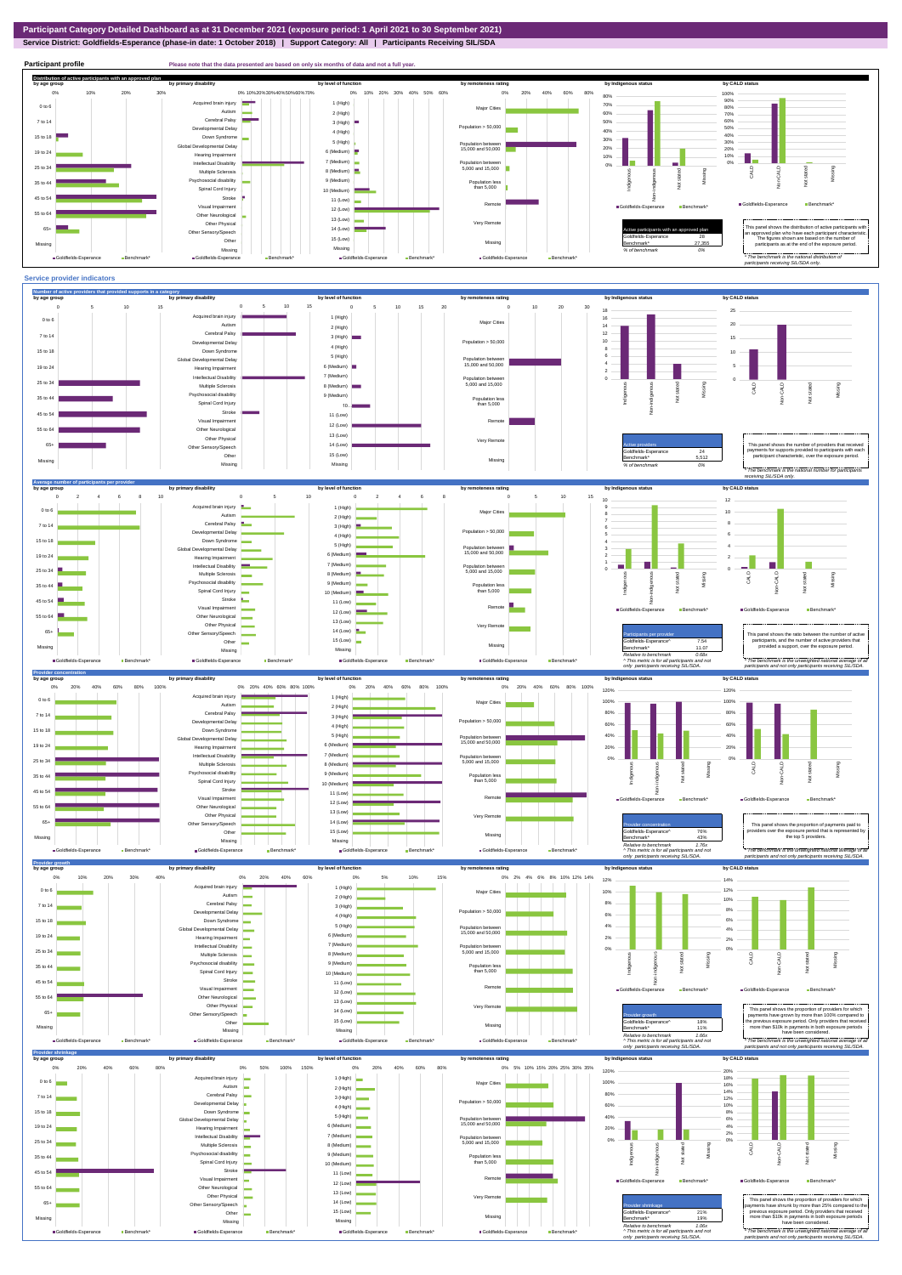**Service District: Goldfields-Esperance (phase-in date: 1 October 2018) | Support Category: All | Participants Receiving SIL/SDA**





Benchmark\* 11.07 *Relative to benchmark 0.68x ^ This metric is for all participants and not*  The benchmark is the unweighted national ave *participants and not only participants receiving SIL/SDA.* provided a support, over the exposure period. *only participants receiving SIL/SDA.*

Missing ■ Goldfields-Esperance Benchmark\*



 $\blacksquare$  Goldfields-Esperance  $\blacksquare$  Benchmark  $\blacksquare$ 



Missing

Missing

Goldfields-Esperance Benchmark\*

**B**Goldfields-Esperance **BR**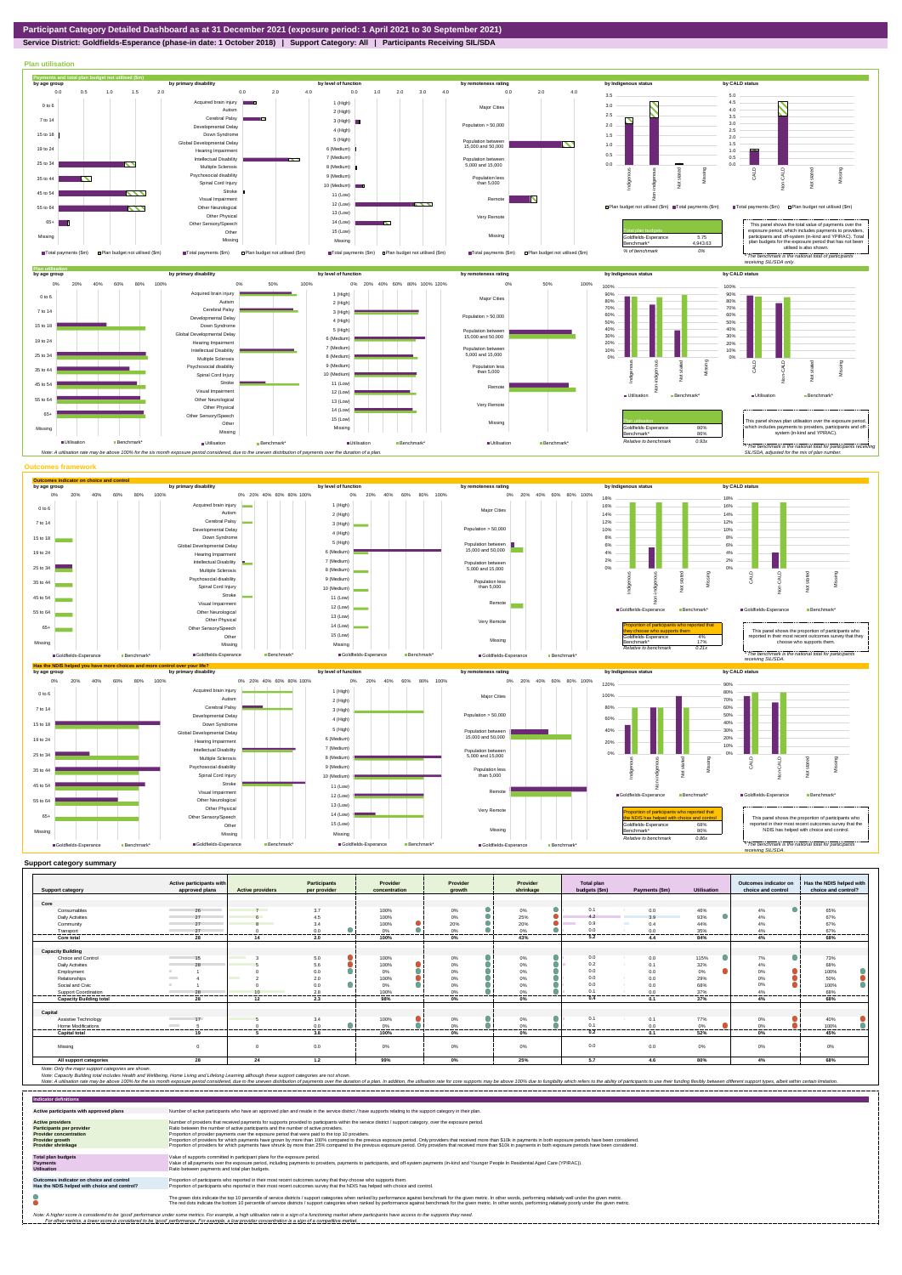**Service District: Goldfields-Esperance (phase-in date: 1 October 2018) | Support Category: All | Participants Receiving SIL/SDA**



| <b>Support category</b>        | Active participants with<br>approved plans | <b>Active providers</b>  | Participants<br>per provider | Provider<br>concentration | Provider<br>arowth                    | Provider<br>shrinkage                   | <b>Total plan</b><br>budgets (\$m) | Payments (\$m)      | Utilisation    | Outcomes indicator on<br>choice and control | Has the NDIS helped with<br>choice and control? |
|--------------------------------|--------------------------------------------|--------------------------|------------------------------|---------------------------|---------------------------------------|-----------------------------------------|------------------------------------|---------------------|----------------|---------------------------------------------|-------------------------------------------------|
|                                |                                            |                          |                              |                           |                                       |                                         |                                    |                     |                |                                             |                                                 |
| Core                           |                                            |                          |                              |                           |                                       |                                         |                                    |                     |                |                                             |                                                 |
| Consumables                    | 26                                         | $7^{\circ}$              | 3.7                          | 100%                      | $0\%$                                 | 0%                                      | 0.1                                | 0.0                 | 46%            | 4%                                          | 65%                                             |
| <b>Daily Activities</b>        |                                            |                          | 4.5                          | 100%                      | 0%                                    | 25%                                     | 4.2                                | 39                  | 93%            | 4%                                          | 67%                                             |
| Community                      |                                            | $\mathbf{R}$             | 3.4                          | 100%                      | 20%                                   | 20%                                     | 0.9                                | <b>COLOR</b><br>0.4 | 44%            | 4%                                          | 67%                                             |
| Transport                      | 27                                         |                          | 0.0<br>-------               | 0%                        | 0%<br>------                          | 0%                                      | 0.0<br>.                           | 0.0                 | 35%<br>------- | 4%<br>------                                | 67%                                             |
| Core total                     | 28                                         | 14                       | 2.0                          | 100%                      | 0%                                    | 43%                                     | 5.2                                | 4.4                 | 84%            | 4%                                          | 68%                                             |
|                                |                                            |                          |                              |                           |                                       |                                         |                                    |                     |                |                                             |                                                 |
| <b>Capacity Building</b>       |                                            |                          |                              |                           |                                       |                                         |                                    |                     |                |                                             |                                                 |
| Choice and Control             | 15                                         |                          | 5.0                          | 100%                      | 0%                                    | 0%                                      | 0.0                                | 0.0                 | 115%           | 7%                                          | 73%                                             |
| <b>Daily Activities</b>        | 28                                         |                          | 5.6                          | 100%                      | 0%                                    | 0%                                      | 0.2                                | 0.1                 | 32%            | 4%                                          | 68%                                             |
| Employment                     |                                            |                          | 0.0                          | 0%                        | $0\%$                                 | 0%                                      | 0.0                                | 0.0                 | $0\%$          | 0%                                          | 100%                                            |
| Relationships                  |                                            | <b>Contract Contract</b> | 2.0                          | 100%                      | 0%                                    | 0%                                      | 0.0                                | 0.0                 | 29%            | 0%                                          | 50%                                             |
| Social and Civic               |                                            |                          | 0.0                          | $0\%$                     | 0%                                    | 0%                                      | 0.0                                | 0.0                 | 68%            | 0%                                          | 100%                                            |
| Support Coordination           | 28                                         |                          | 2.8                          | 100%                      | 0%                                    |                                         | 0.1                                |                     | 37%            | 4%                                          | 68%                                             |
| <b>Capacity Building total</b> | --------------------------<br>28           | ---------<br>12          | ---------<br>2.3             | ----------<br>98%         | ----------<br>--------------<br>$0\%$ | ----------<br>----------------<br>$0\%$ | 0.4                                | -------<br>0.1      | .<br>37%       | <br>4%                                      | ----------<br>68%                               |
|                                |                                            |                          |                              |                           |                                       |                                         |                                    |                     |                |                                             |                                                 |
| Capital                        |                                            |                          |                              |                           |                                       |                                         |                                    |                     |                |                                             |                                                 |
| Assistive Technology           | 17<br><b>Contract Contract</b>             |                          | 3.4                          | 100%                      | 0%                                    | 0%                                      | 0.1                                | 0.1                 | 77%            | 0%                                          | 40%                                             |
| Home Modifications             | <b>Contract Contract</b>                   |                          | 0.0                          | 0%                        | 0%                                    | 0%                                      | 0.1                                | 0.0                 | 0%             | 0%                                          | 100%                                            |
| <b>Capital total</b>           | 19                                         |                          | <br>3.8                      | 100%                      | 0%                                    | 0%                                      | 0.2                                | 0.1                 | 52%            | 0%                                          | 45%                                             |
|                                |                                            |                          |                              |                           |                                       |                                         |                                    |                     |                |                                             |                                                 |
| Missing                        | $\Omega$                                   | $\Omega$                 | 0.0                          | 0%                        | 0%                                    | 0%                                      | 0.0                                | 0.0                 | $0\%$          | 0%                                          | 0%                                              |
| All support categories         | 28                                         | 24                       | 1.2                          | 99%                       | $0\%$                                 | 25%                                     | 5.7                                | 4.6                 | 80%            | 4%                                          | 68%                                             |

Note: Only the major support categories are shown.<br>Note: Capacity Building total individual Wellbeing, Home Living and Lifelong Learning although these support categories are not shown.<br>Note: A utilisation rate may be abov

| <b>Indicator definitions</b>                                                                                                                 |                                                                                                                                                                                                                                                                                                                                                                                                                                                                                                                                                                                                                                                                                                                                                                                                                 |
|----------------------------------------------------------------------------------------------------------------------------------------------|-----------------------------------------------------------------------------------------------------------------------------------------------------------------------------------------------------------------------------------------------------------------------------------------------------------------------------------------------------------------------------------------------------------------------------------------------------------------------------------------------------------------------------------------------------------------------------------------------------------------------------------------------------------------------------------------------------------------------------------------------------------------------------------------------------------------|
| Active participants with approved plans                                                                                                      | Number of active participants who have an approved plan and reside in the service district / have supports relating to the support category in their plan.                                                                                                                                                                                                                                                                                                                                                                                                                                                                                                                                                                                                                                                      |
| <b>Active providers</b><br><b>Participants per provider</b><br><b>Provider concentration</b><br><b>Provider growth</b><br>Provider shrinkage | Number of providers that received payments for supports provided to participants within the service district / support category, over the exposure period.<br>Ratio between the number of active participants and the number of active providers.<br>Proportion of provider payments over the exposure period that were paid to the top 10 providers.<br>Proportion of providers for which payments have grown by more than 100% compared to the previous exposure period. Only providers that received more than \$10k in payments in both exposure periods have been considered.<br>Proportion of providers for which payments have shrunk by more than 25% compared to the previous exposure period. Only providers that received more than \$10k in payments in both exposure periods have been considered. |
| <b>Total plan budgets</b><br><b>Payments</b><br><b>Utilisation</b>                                                                           | Value of supports committed in participant plans for the exposure period.<br>Value of all payments over the exposure period, including payments to providers, payments to participants, and off-system payments (in-kind and Younger People In Residential Aged Care (YPIRAC)).<br>Ratio between payments and total plan budgets.                                                                                                                                                                                                                                                                                                                                                                                                                                                                               |
| Outcomes indicator on choice and control<br>Has the NDIS helped with choice and control?                                                     | Proportion of participants who reported in their most recent outcomes survey that they choose who supports them.<br>Proportion of participants who reported in their most recent outcomes survey that the NDIS has helped with choice and control.                                                                                                                                                                                                                                                                                                                                                                                                                                                                                                                                                              |
|                                                                                                                                              | The green dots indicate the top 10 percentile of service districts / support categories when ranked by performance against benchmark for the given metric. In other words, performing relatively well under the given metric.<br>The red dots indicate the bottom 10 percentile of service districts / support categories when ranked by performance against benchmark for the given metric. In other words, performing relatively poorly under the given metri                                                                                                                                                                                                                                                                                                                                                 |
|                                                                                                                                              | Note: A higher score is considered to be 'good' performance under some metrics. For example, a high utilisation rate is a sign of a functioning market where participants have access to the supports they need.<br>For other metrics, a lower score is considered to be 'good' performance. For example, a low provider concentration is a sign of a competitive market.                                                                                                                                                                                                                                                                                                                                                                                                                                       |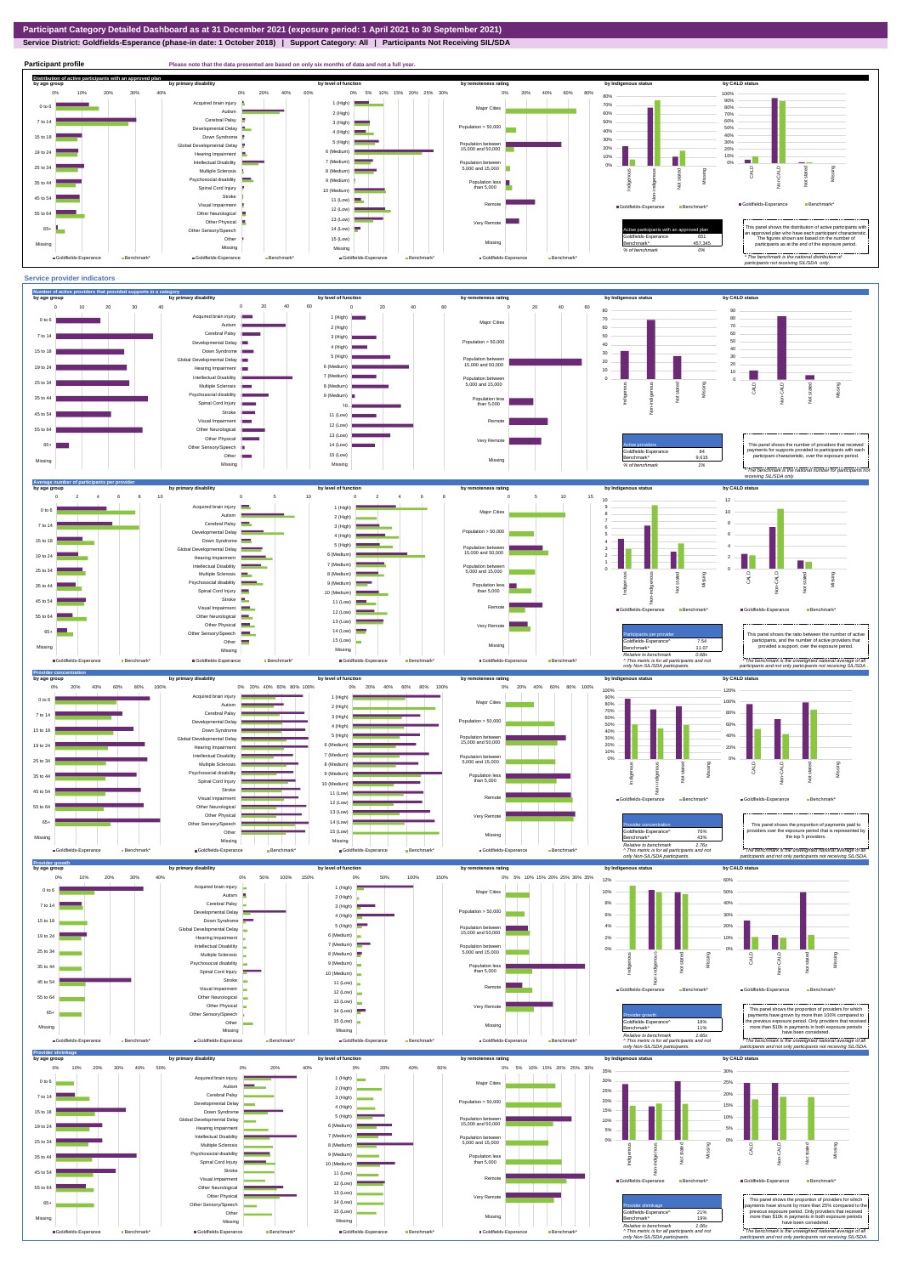**Service District: Goldfields-Esperance (phase-in date: 1 October 2018) | Support Category: All | Participants Not Receiving SIL/SDA**